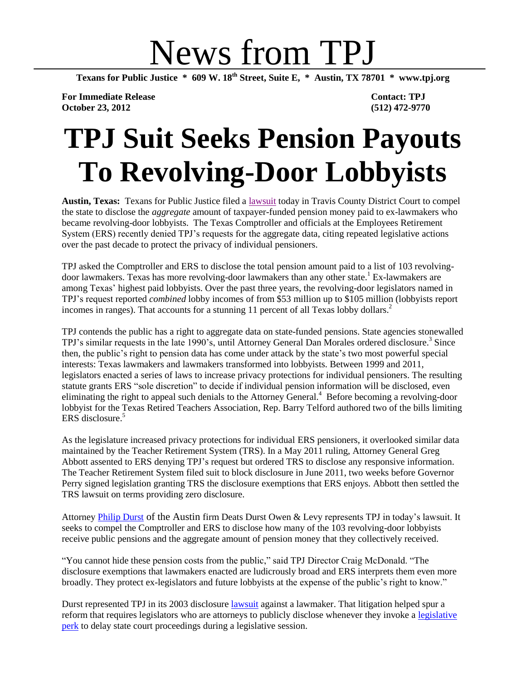# News from TPJ

**Texans for Public Justice \* 609 W. 18th Street, Suite E, \* Austin, TX 78701 \* www.tpj.org**

**For Immediate Release Contact: TPJ October 23, 2012 (512) 472-9770**

## **TPJ Suit Seeks Pension Payouts To Revolving-Door Lobbyists**

**Austin, Texas:** Texans for Public Justice filed a [lawsuit](http://info.tpj.org/press_releases/pdf/ERScomplaint.pdf) today in Travis County District Court to compel the state to disclose the *aggregate* amount of taxpayer-funded pension money paid to ex-lawmakers who became revolving-door lobbyists. The Texas Comptroller and officials at the Employees Retirement System (ERS) recently denied TPJ's requests for the aggregate data, citing repeated legislative actions over the past decade to protect the privacy of individual pensioners.

TPJ asked the Comptroller and ERS to disclose the total pension amount paid to a list of 103 revolvingdoor lawmakers. Texas has more revolving-door lawmakers than any other state.<sup>1</sup> Ex-lawmakers are among Texas' highest paid lobbyists. Over the past three years, the revolving-door legislators named in TPJ's request reported *combined* lobby incomes of from \$53 million up to \$105 million (lobbyists report incomes in ranges). That accounts for a stunning 11 percent of all Texas lobby dollars.<sup>2</sup>

TPJ contends the public has a right to aggregate data on state-funded pensions. State agencies stonewalled TPJ's similar requests in the late 1990's, until Attorney General Dan Morales ordered disclosure. 3 Since then, the public's right to pension data has come under attack by the state's two most powerful special interests: Texas lawmakers and lawmakers transformed into lobbyists. Between 1999 and 2011, legislators enacted a series of laws to increase privacy protections for individual pensioners. The resulting statute grants ERS "sole discretion" to decide if individual pension information will be disclosed, even eliminating the right to appeal such denials to the Attorney General.<sup>4</sup> Before becoming a revolving-door lobbyist for the Texas Retired Teachers Association, Rep. Barry Telford authored two of the bills limiting ERS disclosure. 5

As the legislature increased privacy protections for individual ERS pensioners, it overlooked similar data maintained by the Teacher Retirement System (TRS). In a May 2011 ruling, Attorney General Greg Abbott assented to ERS denying TPJ's request but ordered TRS to disclose any responsive information. The Teacher Retirement System filed suit to block disclosure in June 2011, two weeks before Governor Perry signed legislation granting TRS the disclosure exemptions that ERS enjoys. Abbott then settled the TRS lawsuit on terms providing zero disclosure.

Attorney [Philip Durst](http://www.ddollaw.com/philip-durst/) of the Austin firm Deats Durst Owen & Levy represents TPJ in today's lawsuit. It seeks to compel the Comptroller and ERS to disclose how many of the 103 revolving-door lobbyists receive public pensions and the aggregate amount of pension money that they collectively received.

"You cannot hide these pension costs from the public," said TPJ Director Craig McDonald. "The disclosure exemptions that lawmakers enacted are ludicrously broad and ERS interprets them even more broadly. They protect ex-legislators and future lobbyists at the expense of the public's right to know."

Durst represented TPJ in its 2003 disclosure *lawsuit* against a lawmaker. That litigation helped spur a reform that requires legislators who are attorneys to publicly disclose whenever they invoke a [legislative](http://info.tpj.org/reports/legecontinuances/continualperks.pdf)  [perk](http://info.tpj.org/reports/legecontinuances/continualperks.pdf) to delay state court proceedings during a legislative session.